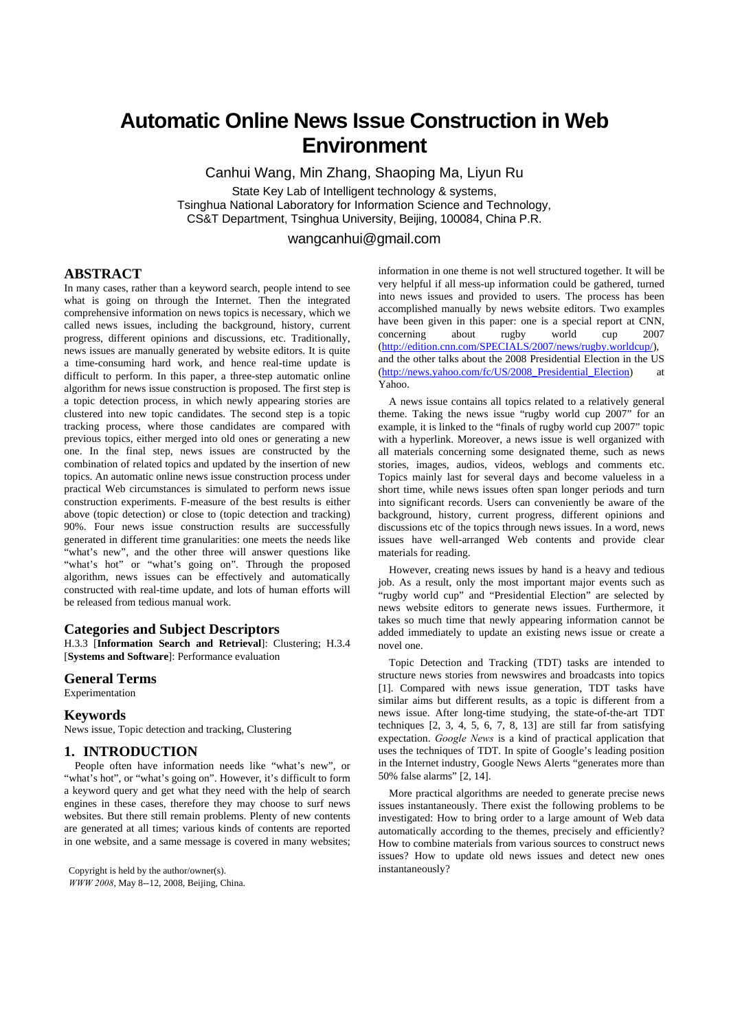# **Automatic Online News Issue Construction in Web Environment**

Canhui Wang, Min Zhang, Shaoping Ma, Liyun Ru

State Key Lab of Intelligent technology & systems, Tsinghua National Laboratory for Information Science and Technology,

CS&T Department, Tsinghua University, Beijing, 100084, China P.R.

wangcanhui@gmail.com

## **ABSTRACT**

In many cases, rather than a keyword search, people intend to see what is going on through the Internet. Then the integrated comprehensive information on news topics is necessary, which we called news issues, including the background, history, current progress, different opinions and discussions, etc. Traditionally, news issues are manually generated by website editors. It is quite a time-consuming hard work, and hence real-time update is difficult to perform. In this paper, a three-step automatic online algorithm for news issue construction is proposed. The first step is a topic detection process, in which newly appearing stories are clustered into new topic candidates. The second step is a topic tracking process, where those candidates are compared with previous topics, either merged into old ones or generating a new one. In the final step, news issues are constructed by the combination of related topics and updated by the insertion of new topics. An automatic online news issue construction process under practical Web circumstances is simulated to perform news issue construction experiments. F-measure of the best results is either above (topic detection) or close to (topic detection and tracking) 90%. Four news issue construction results are successfully generated in different time granularities: one meets the needs like "what's new", and the other three will answer questions like "what's hot" or "what's going on". Through the proposed algorithm, news issues can be effectively and automatically constructed with real-time update, and lots of human efforts will be released from tedious manual work.

#### **Categories and Subject Descriptors**

H.3.3 [**Information Search and Retrieval**]: Clustering; H.3.4 [**Systems and Software**]: Performance evaluation

#### **General Terms**

Experimentation

#### **Keywords**

News issue, Topic detection and tracking, Clustering

#### **1. INTRODUCTION**

People often have information needs like "what's new", or "what's hot", or "what's going on". However, it's difficult to form a keyword query and get what they need with the help of search engines in these cases, therefore they may choose to surf news websites. But there still remain problems. Plenty of new contents are generated at all times; various kinds of contents are reported in one website, and a same message is covered in many websites;

Copyright is held by the author/owner(s). instantaneously? *WWW 2008*, May 8--12, 2008, Beijing, China.

information in one theme is not well structured together. It will be very helpful if all mess-up information could be gathered, turned into news issues and provided to users. The process has been accomplished manually by news website editors. Two examples have been given in this paper: one is a special report at CNN, concerning about rugby world cup 2007 (http://edition.cnn.com/SPECIALS/2007/news/rugby.worldcup/), and the other talks about the 2008 Presidential Election in the US  $(\text{http://news.vahoo.com/fc/US/2008\text{ Presidential}\nElectron)}$ Yahoo.

A news issue contains all topics related to a relatively general theme. Taking the news issue "rugby world cup 2007" for an example, it is linked to the "finals of rugby world cup 2007" topic with a hyperlink. Moreover, a news issue is well organized with all materials concerning some designated theme, such as news stories, images, audios, videos, weblogs and comments etc. Topics mainly last for several days and become valueless in a short time, while news issues often span longer periods and turn into significant records. Users can conveniently be aware of the background, history, current progress, different opinions and discussions etc of the topics through news issues. In a word, news issues have well-arranged Web contents and provide clear materials for reading.

However, creating news issues by hand is a heavy and tedious job. As a result, only the most important major events such as "rugby world cup" and "Presidential Election" are selected by news website editors to generate news issues. Furthermore, it takes so much time that newly appearing information cannot be added immediately to update an existing news issue or create a novel one.

Topic Detection and Tracking (TDT) tasks are intended to structure news stories from newswires and broadcasts into topics [1]. Compared with news issue generation, TDT tasks have similar aims but different results, as a topic is different from a news issue. After long-time studying, the state-of-the-art TDT techniques  $\begin{bmatrix} 2, 3, 4, 5, 6, 7, 8, 13 \end{bmatrix}$  are still far from satisfying expectation. *Google News* is a kind of practical application that uses the techniques of TDT. In spite of Google's leading position in the Internet industry, Google News Alerts "generates more than 50% false alarms" [2, 14].

More practical algorithms are needed to generate precise news issues instantaneously. There exist the following problems to be investigated: How to bring order to a large amount of Web data automatically according to the themes, precisely and efficiently? How to combine materials from various sources to construct news issues? How to update old news issues and detect new ones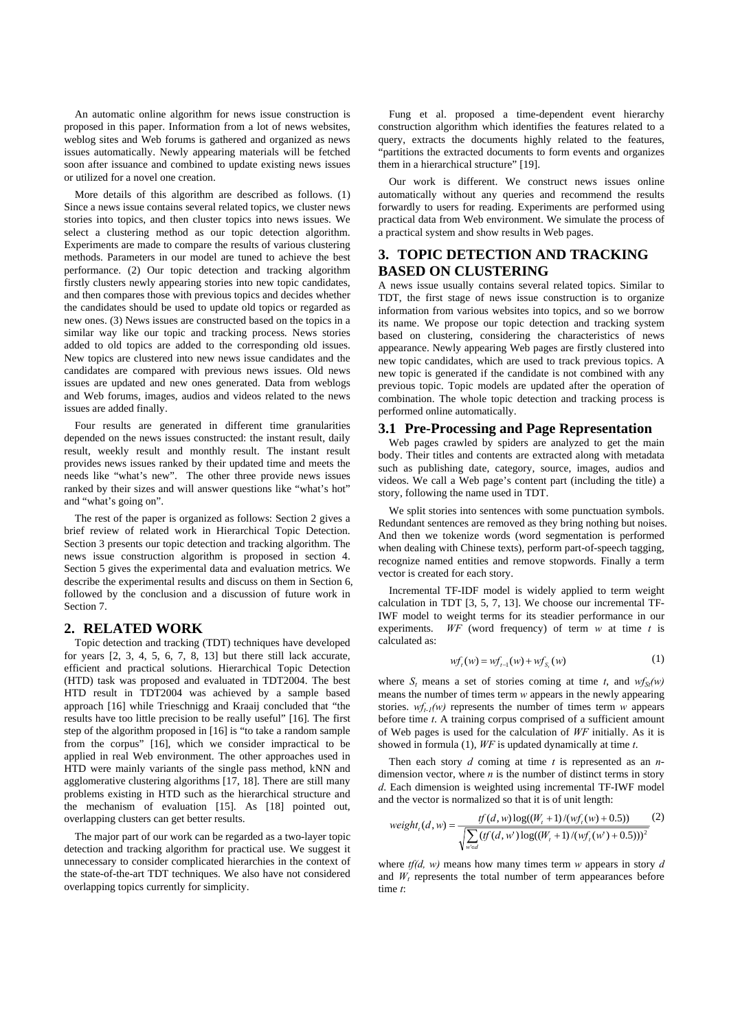An automatic online algorithm for news issue construction is proposed in this paper. Information from a lot of news websites, weblog sites and Web forums is gathered and organized as news issues automatically. Newly appearing materials will be fetched soon after issuance and combined to update existing news issues or utilized for a novel one creation.

More details of this algorithm are described as follows. (1) Since a news issue contains several related topics, we cluster news stories into topics, and then cluster topics into news issues. We select a clustering method as our topic detection algorithm. Experiments are made to compare the results of various clustering methods. Parameters in our model are tuned to achieve the best performance. (2) Our topic detection and tracking algorithm firstly clusters newly appearing stories into new topic candidates, and then compares those with previous topics and decides whether the candidates should be used to update old topics or regarded as new ones. (3) News issues are constructed based on the topics in a similar way like our topic and tracking process. News stories added to old topics are added to the corresponding old issues. New topics are clustered into new news issue candidates and the candidates are compared with previous news issues. Old news issues are updated and new ones generated. Data from weblogs and Web forums, images, audios and videos related to the news issues are added finally.

Four results are generated in different time granularities depended on the news issues constructed: the instant result, daily result, weekly result and monthly result. The instant result provides news issues ranked by their updated time and meets the needs like "what's new". The other three provide news issues ranked by their sizes and will answer questions like "what's hot" and "what's going on".

The rest of the paper is organized as follows: Section 2 gives a brief review of related work in Hierarchical Topic Detection. Section 3 presents our topic detection and tracking algorithm. The news issue construction algorithm is proposed in section 4. Section 5 gives the experimental data and evaluation metrics. We describe the experimental results and discuss on them in Section 6, followed by the conclusion and a discussion of future work in Section 7.

#### **2. RELATED WORK**

Topic detection and tracking (TDT) techniques have developed for years [2, 3, 4, 5, 6, 7, 8, 13] but there still lack accurate, efficient and practical solutions. Hierarchical Topic Detection (HTD) task was proposed and evaluated in TDT2004. The best HTD result in TDT2004 was achieved by a sample based approach [16] while Trieschnigg and Kraaij concluded that "the results have too little precision to be really useful" [16]. The first step of the algorithm proposed in [16] is "to take a random sample from the corpus" [16], which we consider impractical to be applied in real Web environment. The other approaches used in HTD were mainly variants of the single pass method, kNN and agglomerative clustering algorithms [17, 18]. There are still many problems existing in HTD such as the hierarchical structure and the mechanism of evaluation [15]. As [18] pointed out, overlapping clusters can get better results.

The major part of our work can be regarded as a two-layer topic detection and tracking algorithm for practical use. We suggest it unnecessary to consider complicated hierarchies in the context of the state-of-the-art TDT techniques. We also have not considered overlapping topics currently for simplicity.

Fung et al. proposed a time-dependent event hierarchy construction algorithm which identifies the features related to a query, extracts the documents highly related to the features, "partitions the extracted documents to form events and organizes them in a hierarchical structure" [19].

Our work is different. We construct news issues online automatically without any queries and recommend the results forwardly to users for reading. Experiments are performed using practical data from Web environment. We simulate the process of a practical system and show results in Web pages.

# **3. TOPIC DETECTION AND TRACKING BASED ON CLUSTERING**

A news issue usually contains several related topics. Similar to TDT, the first stage of news issue construction is to organize information from various websites into topics, and so we borrow its name. We propose our topic detection and tracking system based on clustering, considering the characteristics of news appearance. Newly appearing Web pages are firstly clustered into new topic candidates, which are used to track previous topics. A new topic is generated if the candidate is not combined with any previous topic. Topic models are updated after the operation of combination. The whole topic detection and tracking process is performed online automatically.

#### **3.1 Pre-Processing and Page Representation**

Web pages crawled by spiders are analyzed to get the main body. Their titles and contents are extracted along with metadata such as publishing date, category, source, images, audios and videos. We call a Web page's content part (including the title) a story, following the name used in TDT.

We split stories into sentences with some punctuation symbols. Redundant sentences are removed as they bring nothing but noises. And then we tokenize words (word segmentation is performed when dealing with Chinese texts), perform part-of-speech tagging, recognize named entities and remove stopwords. Finally a term vector is created for each story.

Incremental TF-IDF model is widely applied to term weight calculation in TDT [3, 5, 7, 13]. We choose our incremental TF-IWF model to weight terms for its steadier performance in our experiments. *WF* (word frequency) of term *w* at time *t* is calculated as:

$$
wft(w) = wft-1(w) + wfSt(w)
$$
 (1)

where  $S_t$  means a set of stories coming at time *t*, and  $wfs_t(w)$ means the number of times term *w* appears in the newly appearing stories.  $wf_{t-1}(w)$  represents the number of times term *w* appears before time *t*. A training corpus comprised of a sufficient amount of Web pages is used for the calculation of *WF* initially. As it is showed in formula (1), *WF* is updated dynamically at time *t*.

Then each story *d* coming at time *t* is represented as an *n*dimension vector, where  $n$  is the number of distinct terms in story *d*. Each dimension is weighted using incremental TF-IWF model and the vector is normalized so that it is of unit length:

$$
weight_t(d, w) = \frac{tf(d, w)log((W_t + 1)/(wf_t(w) + 0.5))}{\sqrt{\sum_{w \in d} (tf(d, w')log((W_t + 1)/(wf_t(w') + 0.5)))^2}} (2)
$$

where *tf(d, w)* means how many times term *w* appears in story *d*  and  $W_t$  represents the total number of term appearances before time *t*: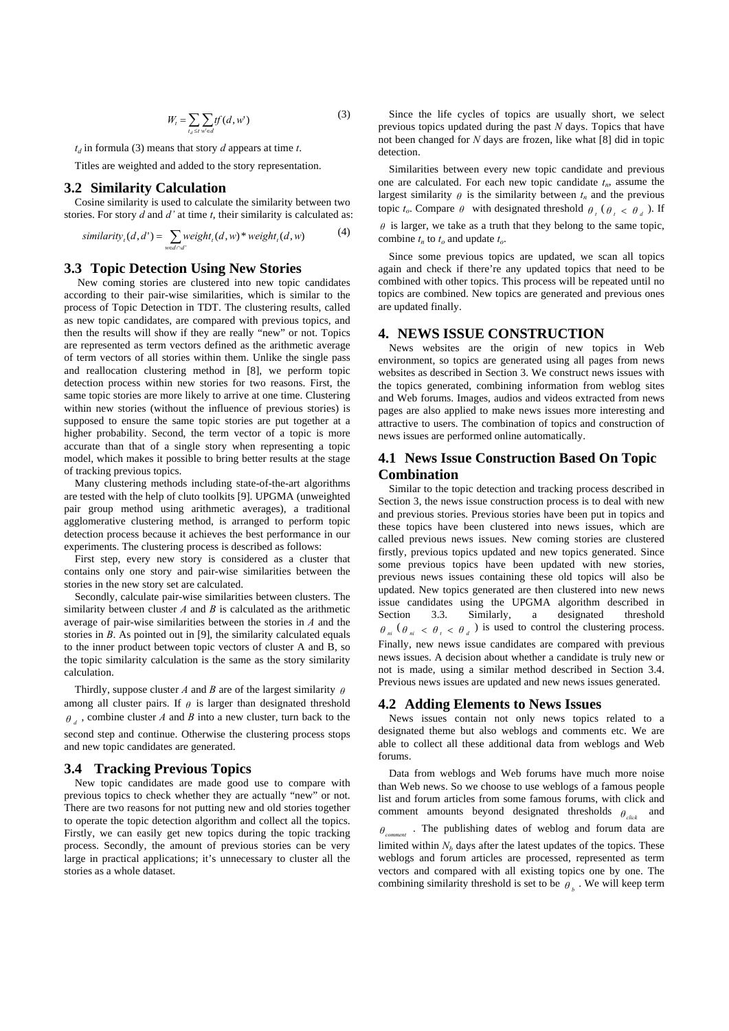$$
W_t = \sum_{t_d \le t} \sum_{w \in d} tf(d, w')
$$
 (3)

 $t_d$  in formula (3) means that story *d* appears at time *t*.

Titles are weighted and added to the story representation.

#### **3.2 Similarity Calculation**

Cosine similarity is used to calculate the similarity between two stories. For story *d* and *d'* at time *t*, their similarity is calculated as:

$$
similarity_t(d, d') = \sum_{w \in d \cap d'} weight_t(d, w) * weight_t(d, w)
$$
 (4)

### **3.3 Topic Detection Using New Stories**

 New coming stories are clustered into new topic candidates according to their pair-wise similarities, which is similar to the process of Topic Detection in TDT. The clustering results, called as new topic candidates, are compared with previous topics, and then the results will show if they are really "new" or not. Topics are represented as term vectors defined as the arithmetic average of term vectors of all stories within them. Unlike the single pass and reallocation clustering method in [8], we perform topic detection process within new stories for two reasons. First, the same topic stories are more likely to arrive at one time. Clustering within new stories (without the influence of previous stories) is supposed to ensure the same topic stories are put together at a higher probability. Second, the term vector of a topic is more accurate than that of a single story when representing a topic model, which makes it possible to bring better results at the stage of tracking previous topics.

Many clustering methods including state-of-the-art algorithms are tested with the help of cluto toolkits [9]. UPGMA (unweighted pair group method using arithmetic averages), a traditional agglomerative clustering method, is arranged to perform topic detection process because it achieves the best performance in our experiments. The clustering process is described as follows:

First step, every new story is considered as a cluster that contains only one story and pair-wise similarities between the stories in the new story set are calculated.

Secondly, calculate pair-wise similarities between clusters. The similarity between cluster *A* and *B* is calculated as the arithmetic average of pair-wise similarities between the stories in *A* and the stories in *B*. As pointed out in [9], the similarity calculated equals to the inner product between topic vectors of cluster A and B, so the topic similarity calculation is the same as the story similarity calculation.

Thirdly, suppose cluster *A* and *B* are of the largest similarity *θ* among all cluster pairs. If  $\theta$  is larger than designated threshold *<sup>d</sup> <sup>θ</sup>* , combine cluster *A* and *B* into a new cluster, turn back to the second step and continue. Otherwise the clustering process stops and new topic candidates are generated.

#### **3.4 Tracking Previous Topics**

New topic candidates are made good use to compare with previous topics to check whether they are actually "new" or not. There are two reasons for not putting new and old stories together to operate the topic detection algorithm and collect all the topics. Firstly, we can easily get new topics during the topic tracking process. Secondly, the amount of previous stories can be very large in practical applications; it's unnecessary to cluster all the stories as a whole dataset.

Since the life cycles of topics are usually short, we select previous topics updated during the past *N* days. Topics that have not been changed for *N* days are frozen, like what [8] did in topic detection.

Similarities between every new topic candidate and previous one are calculated. For each new topic candidate  $t_n$ , assume the largest similarity  $\theta$  is the similarity between  $t_n$  and the previous topic  $t_o$ . Compare  $\theta$  with designated threshold  $\theta_i$  ( $\theta_i < \theta_d$ ). If  $\theta$  is larger, we take as a truth that they belong to the same topic, combine  $t_n$  to  $t_o$  and update  $t_o$ .

Since some previous topics are updated, we scan all topics again and check if there're any updated topics that need to be combined with other topics. This process will be repeated until no topics are combined. New topics are generated and previous ones are updated finally.

#### **4. NEWS ISSUE CONSTRUCTION**

News websites are the origin of new topics in Web environment, so topics are generated using all pages from news websites as described in Section 3. We construct news issues with the topics generated, combining information from weblog sites and Web forums. Images, audios and videos extracted from news pages are also applied to make news issues more interesting and attractive to users. The combination of topics and construction of news issues are performed online automatically.

# **4.1 News Issue Construction Based On Topic Combination**

Similar to the topic detection and tracking process described in Section 3, the news issue construction process is to deal with new and previous stories. Previous stories have been put in topics and these topics have been clustered into news issues, which are called previous news issues. New coming stories are clustered firstly, previous topics updated and new topics generated. Since some previous topics have been updated with new stories, previous news issues containing these old topics will also be updated. New topics generated are then clustered into new news issue candidates using the UPGMA algorithm described in Section 3.3. Similarly, a designated threshold  $\theta_{ni}$  ( $\theta_{ni} < \theta_{i} < \theta_{d}$ ) is used to control the clustering process. Finally, new news issue candidates are compared with previous news issues. A decision about whether a candidate is truly new or not is made, using a similar method described in Section 3.4. Previous news issues are updated and new news issues generated.

#### **4.2 Adding Elements to News Issues**

News issues contain not only news topics related to a designated theme but also weblogs and comments etc. We are able to collect all these additional data from weblogs and Web forums.

Data from weblogs and Web forums have much more noise than Web news. So we choose to use weblogs of a famous people list and forum articles from some famous forums, with click and comment amounts beyond designated thresholds *θclick* and *comment <sup>θ</sup>* . The publishing dates of weblog and forum data are limited within  $N<sub>b</sub>$  days after the latest updates of the topics. These weblogs and forum articles are processed, represented as term vectors and compared with all existing topics one by one. The combining similarity threshold is set to be  $\theta$ . We will keep term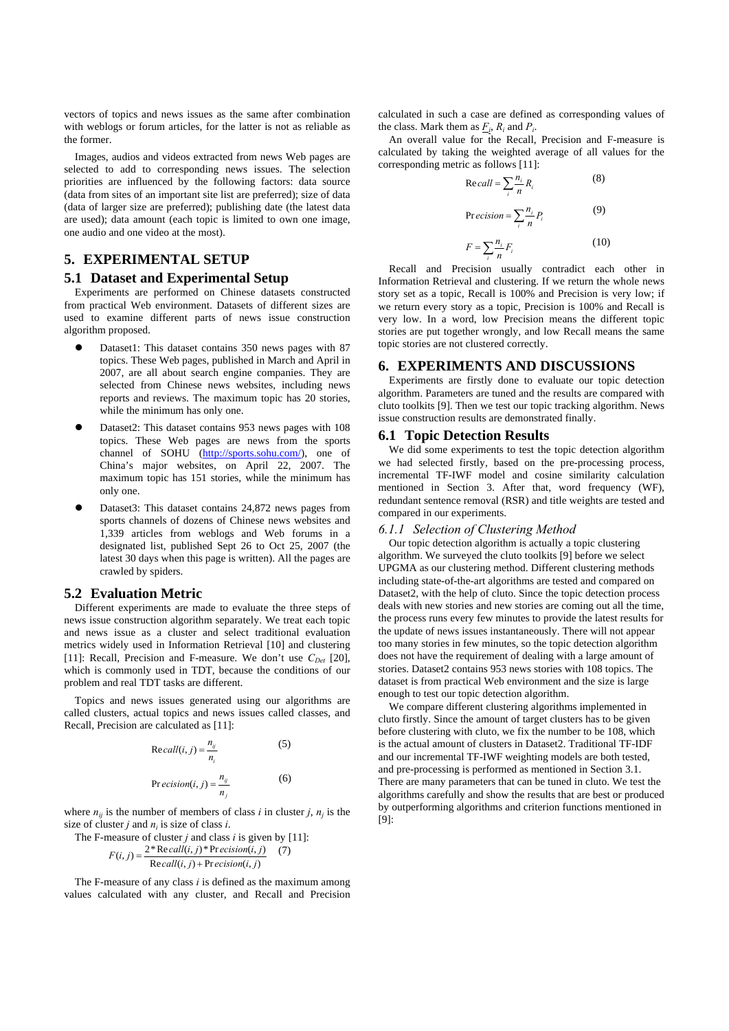vectors of topics and news issues as the same after combination with weblogs or forum articles, for the latter is not as reliable as the former.

Images, audios and videos extracted from news Web pages are selected to add to corresponding news issues. The selection priorities are influenced by the following factors: data source (data from sites of an important site list are preferred); size of data (data of larger size are preferred); publishing date (the latest data are used); data amount (each topic is limited to own one image, one audio and one video at the most).

#### **5. EXPERIMENTAL SETUP**

#### **5.1 Dataset and Experimental Setup**

Experiments are performed on Chinese datasets constructed from practical Web environment. Datasets of different sizes are used to examine different parts of news issue construction algorithm proposed.

- Dataset1: This dataset contains 350 news pages with 87 topics. These Web pages, published in March and April in 2007, are all about search engine companies. They are selected from Chinese news websites, including news reports and reviews. The maximum topic has 20 stories, while the minimum has only one.
- Dataset2: This dataset contains 953 news pages with 108 topics. These Web pages are news from the sports channel of SOHU (http://sports.sohu.com/), one of China's major websites, on April 22, 2007. The maximum topic has 151 stories, while the minimum has only one.
- Dataset3: This dataset contains 24,872 news pages from sports channels of dozens of Chinese news websites and 1,339 articles from weblogs and Web forums in a designated list, published Sept 26 to Oct 25, 2007 (the latest 30 days when this page is written). All the pages are crawled by spiders.

#### **5.2 Evaluation Metric**

Different experiments are made to evaluate the three steps of news issue construction algorithm separately. We treat each topic and news issue as a cluster and select traditional evaluation metrics widely used in Information Retrieval [10] and clustering [11]: Recall, Precision and F-measure. We don't use  $C_{Det}$  [20], which is commonly used in TDT, because the conditions of our problem and real TDT tasks are different.

Topics and news issues generated using our algorithms are called clusters, actual topics and news issues called classes, and Recall, Precision are calculated as [11]:

$$
Recall(i, j) = \frac{n_{ij}}{n_i}
$$
\n
$$
Precision(i, j) = \frac{n_{ij}}{n_j}
$$
\n(6)

where  $n_{ij}$  is the number of members of class *i* in cluster *j*,  $n_j$  is the size of cluster *j* and  $n_i$  is size of class *i*.

The F-measure of cluster *j* and class *i* is given by [11]:  

$$
F(i, j) = \frac{2 * \text{Recall}(i, j) * \text{Precision}(i, j)}{\text{Recall}(i, j) + \text{Precision}(i, j)}
$$
 (7)

The F-measure of any class *i* is defined as the maximum among values calculated with any cluster, and Recall and Precision calculated in such a case are defined as corresponding values of the class. Mark them as  $F_i$ ,  $R_i$  and  $P_i$ .

An overall value for the Recall, Precision and F-measure is calculated by taking the weighted average of all values for the corresponding metric as follows [11]:

$$
Recall = \sum_{i} \frac{n_i}{n} R_i
$$
 (8)

$$
Precision = \sum_{i} \frac{n_i}{n} P_i \tag{9}
$$

$$
F = \sum_{i} \frac{n_i}{n} F_i \tag{10}
$$

Recall and Precision usually contradict each other in Information Retrieval and clustering. If we return the whole news story set as a topic, Recall is 100% and Precision is very low; if we return every story as a topic, Precision is 100% and Recall is very low. In a word, low Precision means the different topic stories are put together wrongly, and low Recall means the same topic stories are not clustered correctly.

#### **6. EXPERIMENTS AND DISCUSSIONS**

Experiments are firstly done to evaluate our topic detection algorithm. Parameters are tuned and the results are compared with cluto toolkits [9]. Then we test our topic tracking algorithm. News issue construction results are demonstrated finally.

#### **6.1 Topic Detection Results**

We did some experiments to test the topic detection algorithm we had selected firstly, based on the pre-processing process, incremental TF-IWF model and cosine similarity calculation mentioned in Section 3. After that, word frequency (WF), redundant sentence removal (RSR) and title weights are tested and compared in our experiments.

#### *6.1.1 Selection of Clustering Method*

Our topic detection algorithm is actually a topic clustering algorithm. We surveyed the cluto toolkits [9] before we select UPGMA as our clustering method. Different clustering methods including state-of-the-art algorithms are tested and compared on Dataset2, with the help of cluto. Since the topic detection process deals with new stories and new stories are coming out all the time, the process runs every few minutes to provide the latest results for the update of news issues instantaneously. There will not appear too many stories in few minutes, so the topic detection algorithm does not have the requirement of dealing with a large amount of stories. Dataset2 contains 953 news stories with 108 topics. The dataset is from practical Web environment and the size is large enough to test our topic detection algorithm.

We compare different clustering algorithms implemented in cluto firstly. Since the amount of target clusters has to be given before clustering with cluto, we fix the number to be 108, which is the actual amount of clusters in Dataset2. Traditional TF-IDF and our incremental TF-IWF weighting models are both tested, and pre-processing is performed as mentioned in Section 3.1. There are many parameters that can be tuned in cluto. We test the algorithms carefully and show the results that are best or produced by outperforming algorithms and criterion functions mentioned in [9]: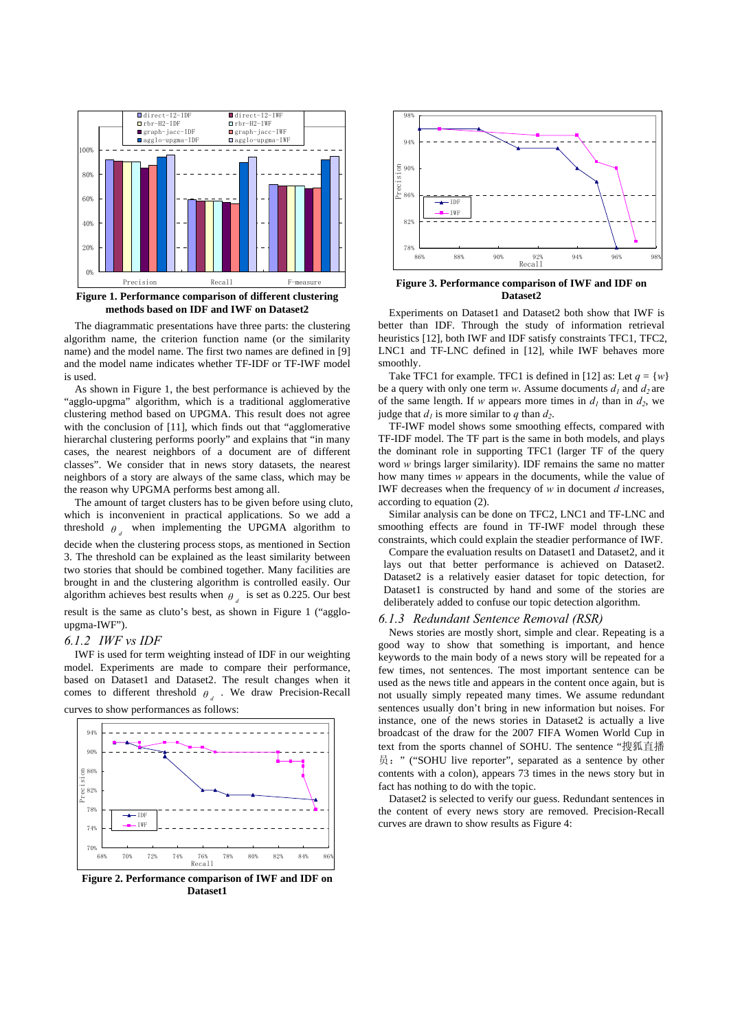

The diagrammatic presentations have three parts: the clustering algorithm name, the criterion function name (or the similarity name) and the model name. The first two names are defined in [9] and the model name indicates whether TF-IDF or TF-IWF model is used.

As shown in Figure 1, the best performance is achieved by the "agglo-upgma" algorithm, which is a traditional agglomerative clustering method based on UPGMA. This result does not agree with the conclusion of [11], which finds out that "agglomerative hierarchal clustering performs poorly" and explains that "in many cases, the nearest neighbors of a document are of different classes". We consider that in news story datasets, the nearest neighbors of a story are always of the same class, which may be the reason why UPGMA performs best among all.

The amount of target clusters has to be given before using cluto, which is inconvenient in practical applications. So we add a threshold  $\theta$ <sup> $d$ </sup> when implementing the UPGMA algorithm to decide when the clustering process stops, as mentioned in Section

3. The threshold can be explained as the least similarity between two stories that should be combined together. Many facilities are brought in and the clustering algorithm is controlled easily. Our algorithm achieves best results when  $\theta$  is set as 0.225. Our best

result is the same as cluto's best, as shown in Figure 1 ("aggloupgma-IWF").

#### *6.1.2 IWF vs IDF*

IWF is used for term weighting instead of IDF in our weighting model. Experiments are made to compare their performance, based on Dataset1 and Dataset2. The result changes when it comes to different threshold  $\theta$ <sup>*d*</sup> . We draw Precision-Recall curves to show performances as follows:



**Figure 2. Performance comparison of IWF and IDF on Dataset1** 



**Figure 3. Performance comparison of IWF and IDF on Dataset2** 

Experiments on Dataset1 and Dataset2 both show that IWF is better than IDF. Through the study of information retrieval heuristics [12], both IWF and IDF satisfy constraints TFC1, TFC2, LNC1 and TF-LNC defined in [12], while IWF behaves more smoothly.

Take TFC1 for example. TFC1 is defined in [12] as: Let  $q = \{w\}$ be a query with only one term *w*. Assume documents  $d_1$  and  $d_2$  are of the same length. If *w* appears more times in  $d_1$  than in  $d_2$ , we judge that  $d_1$  is more similar to *q* than  $d_2$ .

TF-IWF model shows some smoothing effects, compared with TF-IDF model. The TF part is the same in both models, and plays the dominant role in supporting TFC1 (larger TF of the query word *w* brings larger similarity). IDF remains the same no matter how many times *w* appears in the documents, while the value of IWF decreases when the frequency of *w* in document *d* increases, according to equation (2).

Similar analysis can be done on TFC2, LNC1 and TF-LNC and smoothing effects are found in TF-IWF model through these constraints, which could explain the steadier performance of IWF.

Compare the evaluation results on Dataset1 and Dataset2, and it lays out that better performance is achieved on Dataset2. Dataset2 is a relatively easier dataset for topic detection, for Dataset1 is constructed by hand and some of the stories are deliberately added to confuse our topic detection algorithm.

#### *6.1.3 Redundant Sentence Removal (RSR)*

News stories are mostly short, simple and clear. Repeating is a good way to show that something is important, and hence keywords to the main body of a news story will be repeated for a few times, not sentences. The most important sentence can be used as the news title and appears in the content once again, but is not usually simply repeated many times. We assume redundant sentences usually don't bring in new information but noises. For instance, one of the news stories in Dataset2 is actually a live broadcast of the draw for the 2007 FIFA Women World Cup in text from the sports channel of SOHU. The sentence "搜狐直播 员:" ("SOHU live reporter", separated as a sentence by other contents with a colon), appears 73 times in the news story but in fact has nothing to do with the topic.

Dataset2 is selected to verify our guess. Redundant sentences in the content of every news story are removed. Precision-Recall curves are drawn to show results as Figure 4: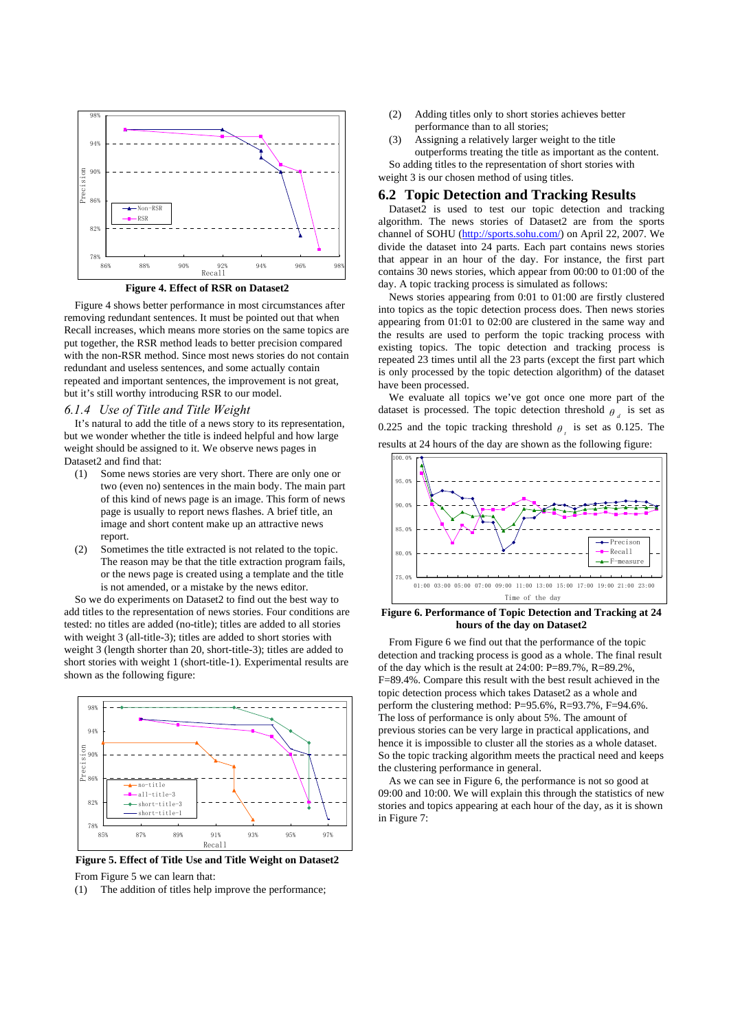

**Figure 4. Effect of RSR on Dataset2** 

Figure 4 shows better performance in most circumstances after removing redundant sentences. It must be pointed out that when Recall increases, which means more stories on the same topics are put together, the RSR method leads to better precision compared with the non-RSR method. Since most news stories do not contain redundant and useless sentences, and some actually contain repeated and important sentences, the improvement is not great, but it's still worthy introducing RSR to our model.

#### *6.1.4 Use of Title and Title Weight*

It's natural to add the title of a news story to its representation, but we wonder whether the title is indeed helpful and how large weight should be assigned to it. We observe news pages in Dataset2 and find that:

- (1) Some news stories are very short. There are only one or two (even no) sentences in the main body. The main part of this kind of news page is an image. This form of news page is usually to report news flashes. A brief title, an image and short content make up an attractive news report.
- (2) Sometimes the title extracted is not related to the topic. The reason may be that the title extraction program fails, or the news page is created using a template and the title is not amended, or a mistake by the news editor.

So we do experiments on Dataset2 to find out the best way to add titles to the representation of news stories. Four conditions are tested: no titles are added (no-title); titles are added to all stories with weight 3 (all-title-3); titles are added to short stories with weight 3 (length shorter than 20, short-title-3); titles are added to short stories with weight 1 (short-title-1). Experimental results are shown as the following figure:



From Figure 5 we can learn that:

(1) The addition of titles help improve the performance;

- (2) Adding titles only to short stories achieves better performance than to all stories;
- (3) Assigning a relatively larger weight to the title

outperforms treating the title as important as the content. So adding titles to the representation of short stories with weight 3 is our chosen method of using titles.

#### **6.2 Topic Detection and Tracking Results**

Dataset2 is used to test our topic detection and tracking algorithm. The news stories of Dataset2 are from the sports channel of SOHU (http://sports.sohu.com/) on April 22, 2007. We divide the dataset into 24 parts. Each part contains news stories that appear in an hour of the day. For instance, the first part contains 30 news stories, which appear from 00:00 to 01:00 of the day. A topic tracking process is simulated as follows:

News stories appearing from 0:01 to 01:00 are firstly clustered into topics as the topic detection process does. Then news stories appearing from 01:01 to 02:00 are clustered in the same way and the results are used to perform the topic tracking process with existing topics. The topic detection and tracking process is repeated 23 times until all the 23 parts (except the first part which is only processed by the topic detection algorithm) of the dataset have been processed.

We evaluate all topics we've got once one more part of the dataset is processed. The topic detection threshold  $\theta$  is set as 0.225 and the topic tracking threshold  $\theta$  is set as 0.125. The results at 24 hours of the day are shown as the following figure:



**Figure 6. Performance of Topic Detection and Tracking at 24 hours of the day on Dataset2** 

From Figure 6 we find out that the performance of the topic detection and tracking process is good as a whole. The final result of the day which is the result at  $24:00:$  P=89.7%, R=89.2%, F=89.4%. Compare this result with the best result achieved in the topic detection process which takes Dataset2 as a whole and perform the clustering method: P=95.6%, R=93.7%, F=94.6%. The loss of performance is only about 5%. The amount of previous stories can be very large in practical applications, and hence it is impossible to cluster all the stories as a whole dataset. So the topic tracking algorithm meets the practical need and keeps the clustering performance in general.

As we can see in Figure 6, the performance is not so good at 09:00 and 10:00. We will explain this through the statistics of new stories and topics appearing at each hour of the day, as it is shown in Figure 7: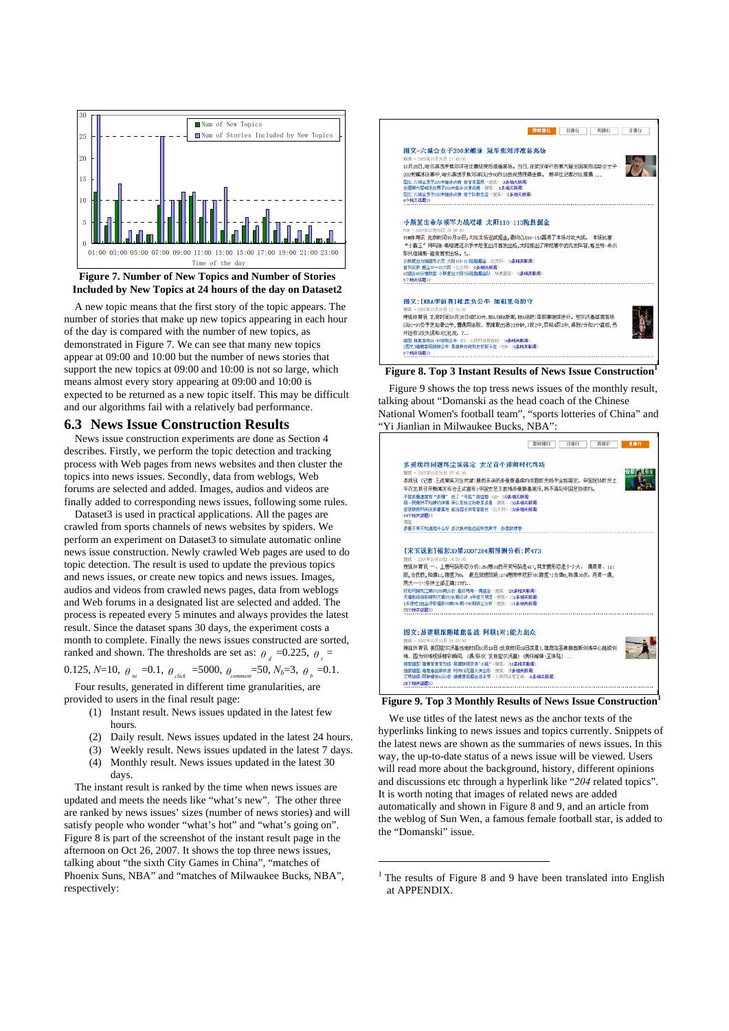

#### **Figure 7. Number of New Topics and Number of Stories Included by New Topics at 24 hours of the day on Dataset2**

A new topic means that the first story of the topic appears. The number of stories that make up new topics appearing in each hour of the day is compared with the number of new topics, as demonstrated in Figure 7. We can see that many new topics appear at 09:00 and 10:00 but the number of news stories that support the new topics at 09:00 and 10:00 is not so large, which means almost every story appearing at 09:00 and 10:00 is expected to be returned as a new topic itself. This may be difficult and our algorithms fail with a relatively bad performance.

#### **6.3 News Issue Construction Results**

News issue construction experiments are done as Section 4 describes. Firstly, we perform the topic detection and tracking process with Web pages from news websites and then cluster the topics into news issues. Secondly, data from weblogs, Web forums are selected and added. Images, audios and videos are finally added to corresponding news issues, following some rules.

Dataset3 is used in practical applications. All the pages are crawled from sports channels of news websites by spiders. We perform an experiment on Dataset3 to simulate automatic online news issue construction. Newly crawled Web pages are used to do topic detection. The result is used to update the previous topics and news issues, or create new topics and news issues. Images, audios and videos from crawled news pages, data from weblogs and Web forums in a designated list are selected and added. The process is repeated every 5 minutes and always provides the latest result. Since the dataset spans 30 days, the experiment costs a month to complete. Finally the news issues constructed are sorted, ranked and shown. The thresholds are set as:  $\theta_d = 0.225$ ,  $\theta_e =$ 

0.125,  $N=10$ ,  $\theta_{ni} = 0.1$ ,  $\theta_{click} = 5000$ ,  $\theta_{comment} = 50$ ,  $N_b=3$ ,  $\theta_b = 0.1$ .

Four results, generated in different time granularities, are provided to users in the final result page:

- (1) Instant result. News issues updated in the latest few hours.
- (2) Daily result. News issues updated in the latest 24 hours.
- (3) Weekly result. News issues updated in the latest 7 days. (4) Monthly result. News issues updated in the latest 30
- days.

The instant result is ranked by the time when news issues are updated and meets the needs like "what's new". The other three are ranked by news issues' sizes (number of news stories) and will satisfy people who wonder "what's hot" and "what's going on". Figure 8 is part of the screenshot of the instant result page in the afternoon on Oct 26, 2007. It shows the top three news issues, talking about "the sixth City Games in China", "matches of Phoenix Suns, NBA" and "matches of Milwaukee Bucks, NBA", respectively:



#### **Figure 8. Top 3 Instant Results of News Issue Construction**

Figure 9 shows the top tress news issues of the monthly result, talking about "Domanski as the head coach of the Chinese National Women's football team", "sports lotteries of China" and "Yi Jianlian in Milwaukee Bucks, NBA":



#### **Figure 9. Top 3 Monthly Results of News Issue Construction<sup>1</sup>**

We use titles of the latest news as the anchor texts of the hyperlinks linking to news issues and topics currently. Snippets of the latest news are shown as the summaries of news issues. In this way, the up-to-date status of a news issue will be viewed. Users will read more about the background, history, different opinions and discussions etc through a hyperlink like "*204* related topics". It is worth noting that images of related news are added automatically and shown in Figure 8 and 9, and an article from the weblog of Sun Wen, a famous female football star, is added to the "Domanski" issue.

<u>.</u>

<sup>&</sup>lt;sup>1</sup> The results of Figure 8 and 9 have been translated into English at APPENDIX.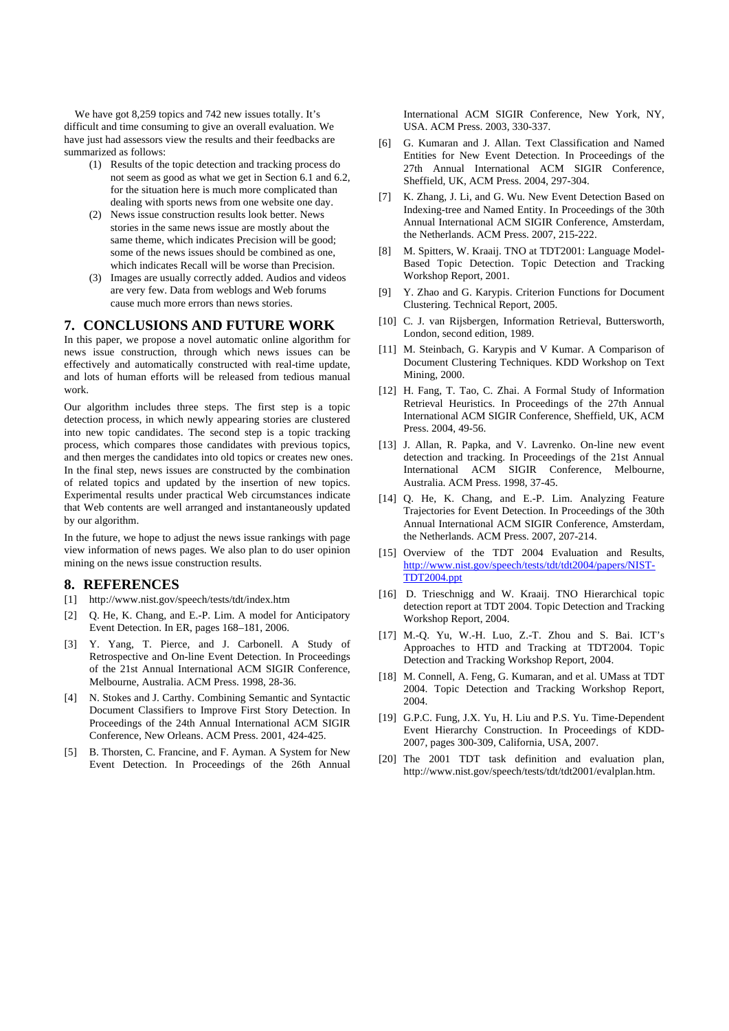We have got 8.259 topics and 742 new issues totally. It's difficult and time consuming to give an overall evaluation. We have just had assessors view the results and their feedbacks are summarized as follows:

- (1) Results of the topic detection and tracking process do not seem as good as what we get in Section 6.1 and 6.2, for the situation here is much more complicated than dealing with sports news from one website one day.
- (2) News issue construction results look better. News stories in the same news issue are mostly about the same theme, which indicates Precision will be good; some of the news issues should be combined as one, which indicates Recall will be worse than Precision.
- (3) Images are usually correctly added. Audios and videos are very few. Data from weblogs and Web forums cause much more errors than news stories.

#### **7. CONCLUSIONS AND FUTURE WORK**

In this paper, we propose a novel automatic online algorithm for news issue construction, through which news issues can be effectively and automatically constructed with real-time update, and lots of human efforts will be released from tedious manual work.

Our algorithm includes three steps. The first step is a topic detection process, in which newly appearing stories are clustered into new topic candidates. The second step is a topic tracking process, which compares those candidates with previous topics, and then merges the candidates into old topics or creates new ones. In the final step, news issues are constructed by the combination of related topics and updated by the insertion of new topics. Experimental results under practical Web circumstances indicate that Web contents are well arranged and instantaneously updated by our algorithm.

In the future, we hope to adjust the news issue rankings with page view information of news pages. We also plan to do user opinion mining on the news issue construction results.

#### **8. REFERENCES**

- [1] http://www.nist.gov/speech/tests/tdt/index.htm
- [2] Q. He, K. Chang, and E.-P. Lim. A model for Anticipatory Event Detection. In ER, pages 168–181, 2006.
- [3] Y. Yang, T. Pierce, and J. Carbonell. A Study of Retrospective and On-line Event Detection. In Proceedings of the 21st Annual International ACM SIGIR Conference, Melbourne, Australia. ACM Press. 1998, 28-36.
- [4] N. Stokes and J. Carthy. Combining Semantic and Syntactic Document Classifiers to Improve First Story Detection. In Proceedings of the 24th Annual International ACM SIGIR Conference, New Orleans. ACM Press. 2001, 424-425.
- [5] B. Thorsten, C. Francine, and F. Ayman. A System for New Event Detection. In Proceedings of the 26th Annual

International ACM SIGIR Conference, New York, NY, USA. ACM Press. 2003, 330-337.

- [6] G. Kumaran and J. Allan. Text Classification and Named Entities for New Event Detection. In Proceedings of the 27th Annual International ACM SIGIR Conference, Sheffield, UK, ACM Press. 2004, 297-304.
- [7] K. Zhang, J. Li, and G. Wu. New Event Detection Based on Indexing-tree and Named Entity. In Proceedings of the 30th Annual International ACM SIGIR Conference, Amsterdam, the Netherlands. ACM Press. 2007, 215-222.
- [8] M. Spitters, W. Kraaij. TNO at TDT2001: Language Model-Based Topic Detection. Topic Detection and Tracking Workshop Report, 2001.
- [9] Y. Zhao and G. Karypis. Criterion Functions for Document Clustering. Technical Report, 2005.
- [10] C. J. van Rijsbergen, Information Retrieval, Buttersworth, London, second edition, 1989.
- [11] M. Steinbach, G. Karypis and V Kumar. A Comparison of Document Clustering Techniques. KDD Workshop on Text Mining, 2000.
- [12] H. Fang, T. Tao, C. Zhai. A Formal Study of Information Retrieval Heuristics. In Proceedings of the 27th Annual International ACM SIGIR Conference, Sheffield, UK, ACM Press. 2004, 49-56.
- [13] J. Allan, R. Papka, and V. Lavrenko. On-line new event detection and tracking. In Proceedings of the 21st Annual International ACM SIGIR Conference, Melbourne, Australia. ACM Press. 1998, 37-45.
- [14] O. He, K. Chang, and E.-P. Lim. Analyzing Feature Trajectories for Event Detection. In Proceedings of the 30th Annual International ACM SIGIR Conference, Amsterdam, the Netherlands. ACM Press. 2007, 207-214.
- [15] Overview of the TDT 2004 Evaluation and Results, http://www.nist.gov/speech/tests/tdt/tdt2004/papers/NIST-TDT2004.ppt
- [16] D. Trieschnigg and W. Kraaij. TNO Hierarchical topic detection report at TDT 2004. Topic Detection and Tracking Workshop Report, 2004.
- [17] M.-Q. Yu, W.-H. Luo, Z.-T. Zhou and S. Bai. ICT's Approaches to HTD and Tracking at TDT2004. Topic Detection and Tracking Workshop Report, 2004.
- [18] M. Connell, A. Feng, G. Kumaran, and et al. UMass at TDT 2004. Topic Detection and Tracking Workshop Report, 2004.
- [19] G.P.C. Fung, J.X. Yu, H. Liu and P.S. Yu. Time-Dependent Event Hierarchy Construction. In Proceedings of KDD-2007, pages 300-309, California, USA, 2007.
- [20] The 2001 TDT task definition and evaluation plan, http://www.nist.gov/speech/tests/tdt/tdt2001/evalplan.htm.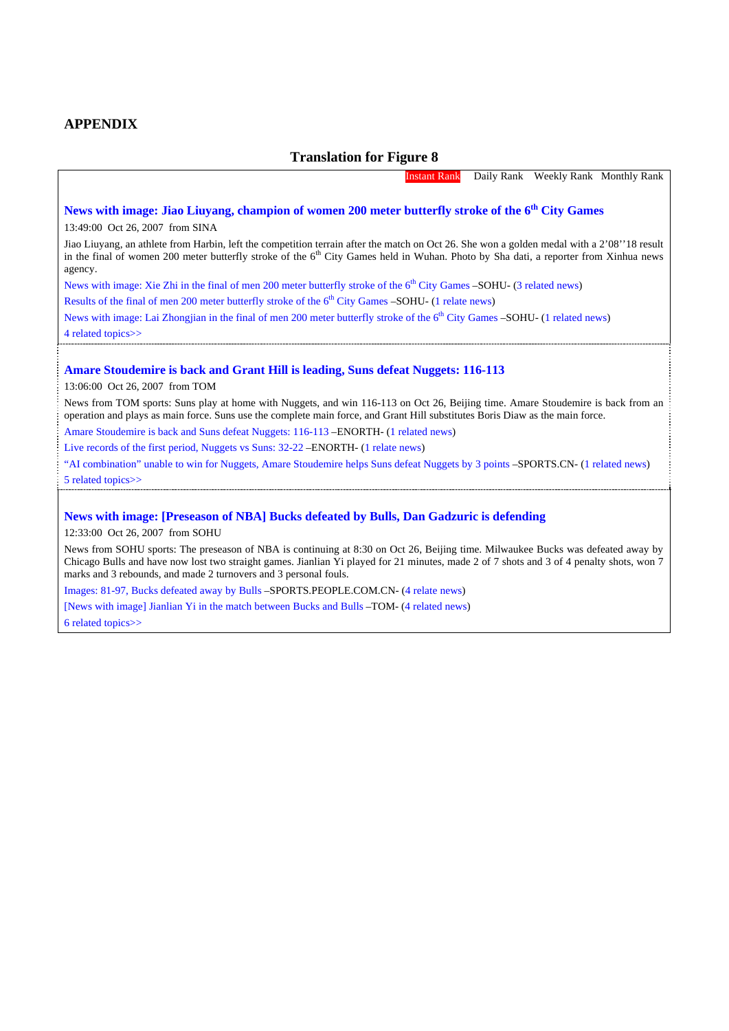# **APPENDIX**

# **Translation for Figure 8**

Instant Rank Daily Rank Weekly Rank Monthly Rank

# News with image: Jiao Liuyang, champion of women 200 meter butterfly stroke of the 6<sup>th</sup> City Games 13:49:00 Oct 26, 2007 from SINA Jiao Liuyang, an athlete from Harbin, left the competition terrain after the match on Oct 26. She won a golden medal with a 2'08''18 result in the final of women 200 meter butterfly stroke of the  $6<sup>th</sup>$  City Games held in Wuhan. Photo by Sha dati, a reporter from Xinhua news agency. News with image: Xie Zhi in the final of men 200 meter butterfly stroke of the 6<sup>th</sup> City Games –SOHU- (3 related news) Results of the final of men 200 meter butterfly stroke of the 6<sup>th</sup> City Games –SOHU- (1 relate news) News with image: Lai Zhongjian in the final of men 200 meter butterfly stroke of the 6<sup>th</sup> City Games –SOHU- (1 related news) 4 related topics>> **Amare Stoudemire is back and Grant Hill is leading, Suns defeat Nuggets: 116-113**  13:06:00 Oct 26, 2007 from TOM News from TOM sports: Suns play at home with Nuggets, and win 116-113 on Oct 26, Beijing time. Amare Stoudemire is back from an operation and plays as main force. Suns use the complete main force, and Grant Hill substitutes Boris Diaw as the main force. Amare Stoudemire is back and Suns defeat Nuggets: 116-113 –ENORTH- (1 related news) Live records of the first period, Nuggets vs Suns: 32-22 –ENORTH- (1 relate news) "AI combination" unable to win for Nuggets, Amare Stoudemire helps Suns defeat Nuggets by 3 points –SPORTS.CN- (1 related news) 5 related topics>> **News with image: [Preseason of NBA] Bucks defeated by Bulls, Dan Gadzuric is defending**  12:33:00 Oct 26, 2007 from SOHU News from SOHU sports: The preseason of NBA is continuing at 8:30 on Oct 26, Beijing time. Milwaukee Bucks was defeated away by Chicago Bulls and have now lost two straight games. Jianlian Yi played for 21 minutes, made 2 of 7 shots and 3 of 4 penalty shots, won 7 marks and 3 rebounds, and made 2 turnovers and 3 personal fouls.

Images: 81-97, Bucks defeated away by Bulls –SPORTS.PEOPLE.COM.CN- (4 relate news)

[News with image] Jianlian Yi in the match between Bucks and Bulls –TOM- (4 related news) 6 related topics>>